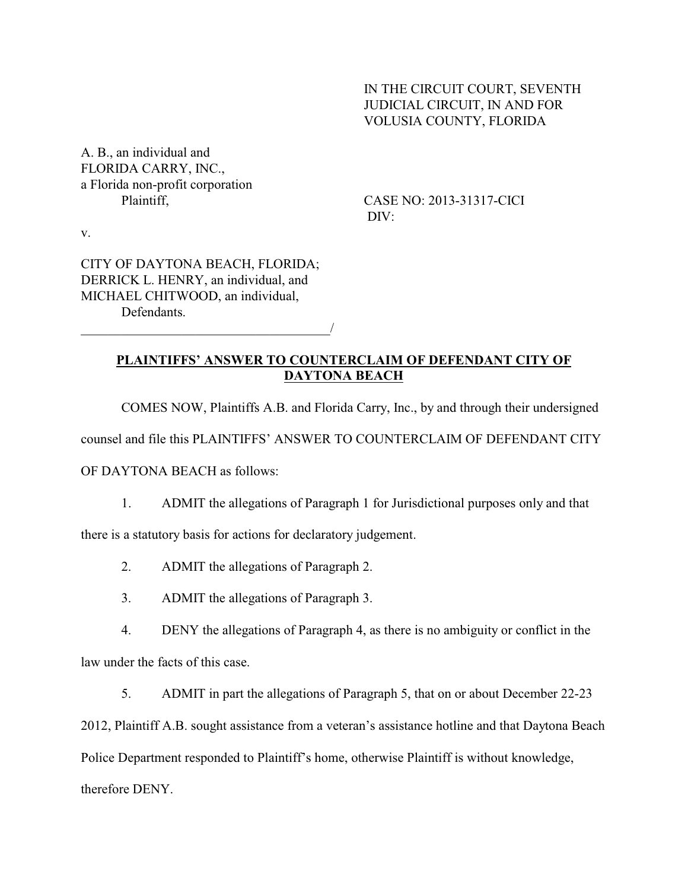## IN THE CIRCUIT COURT, SEVENTH JUDICIAL CIRCUIT, IN AND FOR VOLUSIA COUNTY, FLORIDA

A. B., an individual and FLORIDA CARRY, INC., a Florida non-profit corporation

Plaintiff, CASE NO: 2013-31317-CICI DIV:

v.

CITY OF DAYTONA BEACH, FLORIDA; DERRICK L. HENRY, an individual, and MICHAEL CHITWOOD, an individual, **Defendants** 

\_\_\_\_\_\_\_\_\_\_\_\_\_\_\_\_\_\_\_\_\_\_\_\_\_\_\_\_\_\_\_\_\_\_\_\_\_/

## **PLAINTIFFS' ANSWER TO COUNTERCLAIM OF DEFENDANT CITY OF DAYTONA BEACH**

COMES NOW, Plaintiffs A.B. and Florida Carry, Inc., by and through their undersigned

counsel and file this PLAINTIFFS' ANSWER TO COUNTERCLAIM OF DEFENDANT CITY

OF DAYTONA BEACH as follows:

1. ADMIT the allegations of Paragraph 1 for Jurisdictional purposes only and that

there is a statutory basis for actions for declaratory judgement.

- 2. ADMIT the allegations of Paragraph 2.
- 3. ADMIT the allegations of Paragraph 3.

4. DENY the allegations of Paragraph 4, as there is no ambiguity or conflict in the

law under the facts of this case.

5. ADMIT in part the allegations of Paragraph 5, that on or about December 22-23

2012, Plaintiff A.B. sought assistance from a veteran's assistance hotline and that Daytona Beach Police Department responded to Plaintiff's home, otherwise Plaintiff is without knowledge, therefore DENY.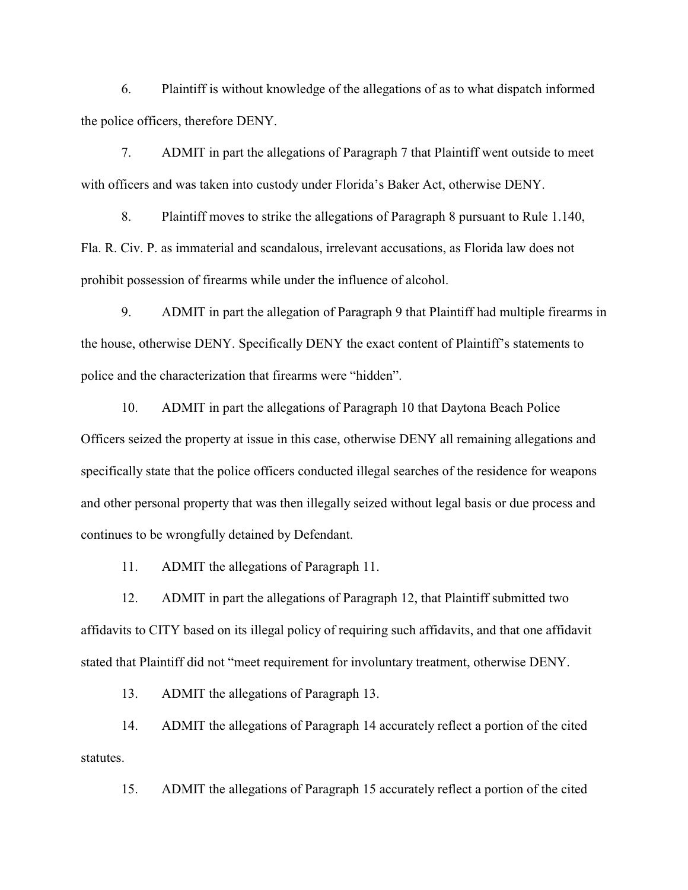6. Plaintiff is without knowledge of the allegations of as to what dispatch informed the police officers, therefore DENY.

7. ADMIT in part the allegations of Paragraph 7 that Plaintiff went outside to meet with officers and was taken into custody under Florida's Baker Act, otherwise DENY.

8. Plaintiff moves to strike the allegations of Paragraph 8 pursuant to Rule 1.140, Fla. R. Civ. P. as immaterial and scandalous, irrelevant accusations, as Florida law does not prohibit possession of firearms while under the influence of alcohol.

9. ADMIT in part the allegation of Paragraph 9 that Plaintiff had multiple firearms in the house, otherwise DENY. Specifically DENY the exact content of Plaintiff's statements to police and the characterization that firearms were "hidden".

10. ADMIT in part the allegations of Paragraph 10 that Daytona Beach Police Officers seized the property at issue in this case, otherwise DENY all remaining allegations and specifically state that the police officers conducted illegal searches of the residence for weapons and other personal property that was then illegally seized without legal basis or due process and continues to be wrongfully detained by Defendant.

11. ADMIT the allegations of Paragraph 11.

12. ADMIT in part the allegations of Paragraph 12, that Plaintiff submitted two affidavits to CITY based on its illegal policy of requiring such affidavits, and that one affidavit stated that Plaintiff did not "meet requirement for involuntary treatment, otherwise DENY.

13. ADMIT the allegations of Paragraph 13.

14. ADMIT the allegations of Paragraph 14 accurately reflect a portion of the cited statutes.

15. ADMIT the allegations of Paragraph 15 accurately reflect a portion of the cited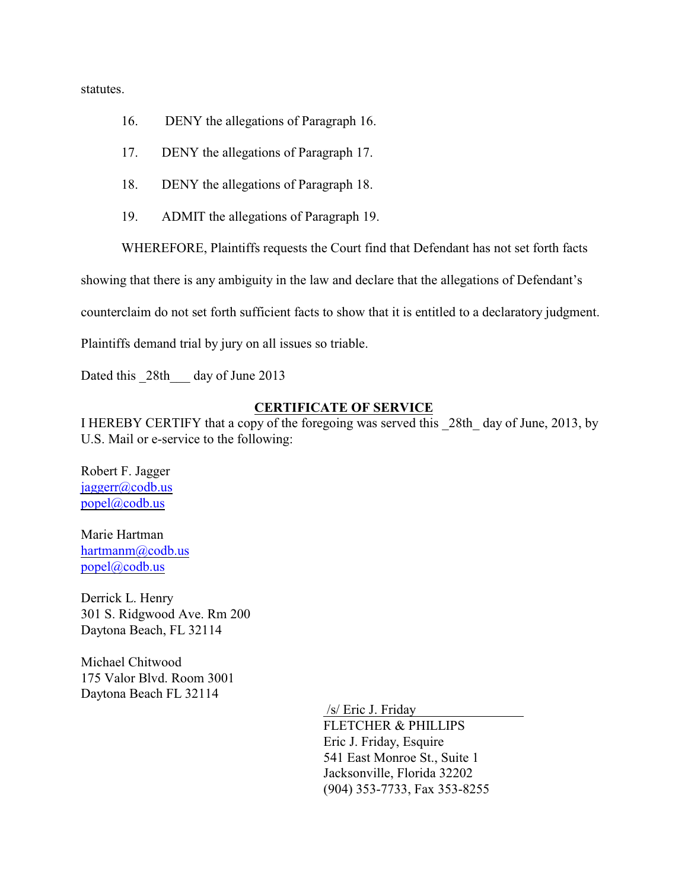statutes.

- 16. DENY the allegations of Paragraph 16.
- 17. DENY the allegations of Paragraph 17.
- 18. DENY the allegations of Paragraph 18.
- 19. ADMIT the allegations of Paragraph 19.

WHEREFORE, Plaintiffs requests the Court find that Defendant has not set forth facts

showing that there is any ambiguity in the law and declare that the allegations of Defendant's

counterclaim do not set forth sufficient facts to show that it is entitled to a declaratory judgment.

Plaintiffs demand trial by jury on all issues so triable.

Dated this 28th day of June 2013

## **CERTIFICATE OF SERVICE**

I HEREBY CERTIFY that a copy of the foregoing was served this \_28th\_ day of June, 2013, by U.S. Mail or e-service to the following:

Robert F. Jagger [jaggerr@codb.us](mailto:jaggerr@codb.us) [popel@codb.us](mailto:popel@codb.us)

Marie Hartman [hartmanm@codb.us](mailto:hartmanm@codb.us) [popel@codb.us](mailto:popel@codb.us)

Derrick L. Henry 301 S. Ridgwood Ave. Rm 200 Daytona Beach, FL 32114

Michael Chitwood 175 Valor Blvd. Room 3001 Daytona Beach FL 32114

/s/ Eric J. Friday

FLETCHER & PHILLIPS Eric J. Friday, Esquire 541 East Monroe St., Suite 1 Jacksonville, Florida 32202 (904) 353-7733, Fax 353-8255